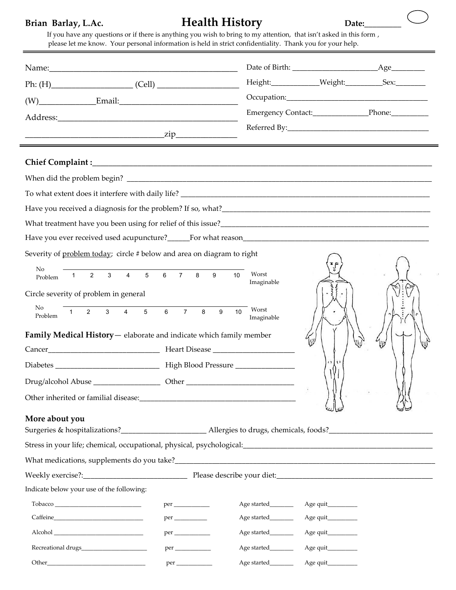# Brian Barlay, L.Ac. *Health History* Date:

|                                                                        |                                             |                           |                    | Height:_____________Weight:____________Sex:_________ |
|------------------------------------------------------------------------|---------------------------------------------|---------------------------|--------------------|------------------------------------------------------|
|                                                                        |                                             |                           |                    |                                                      |
|                                                                        |                                             |                           |                    |                                                      |
|                                                                        |                                             |                           |                    |                                                      |
|                                                                        |                                             |                           |                    |                                                      |
|                                                                        |                                             |                           |                    |                                                      |
|                                                                        |                                             |                           |                    |                                                      |
|                                                                        |                                             |                           |                    |                                                      |
| What treatment have you been using for relief of this issue?           |                                             |                           |                    |                                                      |
|                                                                        |                                             |                           |                    |                                                      |
| Severity of problem today; circle # below and area on diagram to right |                                             |                           |                    |                                                      |
| No                                                                     |                                             |                           |                    |                                                      |
| $\overline{2}$<br>$\mathbf{3}$<br>$\mathbf{1}$<br>Problem              | 4 5 6 7 8 9                                 | Worst<br>10<br>Imaginable |                    |                                                      |
| Circle severity of problem in general                                  |                                             |                           |                    |                                                      |
| No<br>$\mathbf{3}$<br>$\overline{2}$<br>$\overline{4}$<br>1<br>Problem | $5\phantom{.0}$<br>$6\phantom{.}$<br>7<br>8 | Worst<br>9<br>10          |                    |                                                      |
|                                                                        |                                             | Imaginable                |                    |                                                      |
| Family Medical History - elaborate and indicate which family member    |                                             |                           |                    |                                                      |
|                                                                        |                                             |                           | $\mathbf{r}$       |                                                      |
|                                                                        |                                             |                           |                    |                                                      |
|                                                                        |                                             |                           |                    |                                                      |
|                                                                        |                                             |                           |                    |                                                      |
| More about you                                                         |                                             |                           |                    |                                                      |
|                                                                        |                                             |                           |                    |                                                      |
|                                                                        |                                             |                           |                    |                                                      |
|                                                                        |                                             |                           |                    |                                                      |
|                                                                        |                                             |                           |                    |                                                      |
| Indicate below your use of the following:                              |                                             |                           |                    |                                                      |
|                                                                        |                                             | Age started________       | Age quit__________ |                                                      |
|                                                                        |                                             | Age started________       | Age quit           |                                                      |
|                                                                        |                                             | Age started________       | Age quit           |                                                      |
|                                                                        |                                             | Age started________       | Age quit__________ |                                                      |
|                                                                        |                                             |                           |                    |                                                      |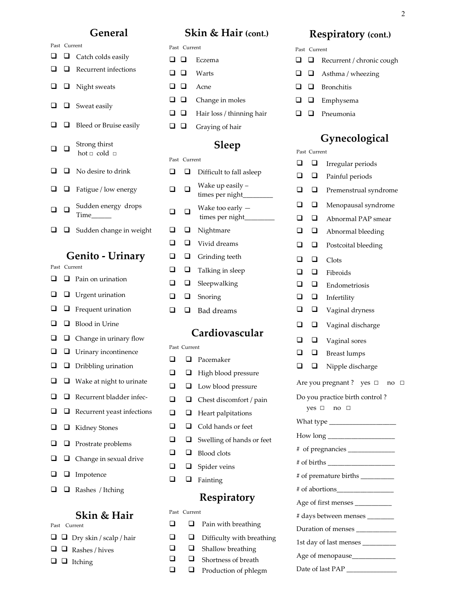### **General**

 $\Box$   $\Box$  Catch colds easily  $\Box$  Recurrent infections

 $\Box$   $\Box$  Night sweats

 $\Box$   $\Box$  Sweat easily

 $\Box$   $\Box$  Bleed or Bruise easily

Strong thirst hot  $\Box$  cold  $\Box$ 

 $\Box$   $\Box$  No desire to drink

 $\Box$   $\Box$  Fatigue / low energy

Time\_\_\_\_\_\_

Sudden energy drops

 $\Box$   $\Box$  Sudden change in weight

Past Current

 $\Box$   $\Box$ 

 $\Box$   $\Box$ 

## **Skin & Hair (cont.)**

### Past Current

 $\Box$  Eczema **Q Q** Warts **Q Q** Acne  $\Box$   $\Box$  Change in moles  $\Box$   $\Box$  Hair loss / thinning hair  $\Box$   $\Box$  Graying of hair

## **Sleep**

### Past Current

| ப              | ப            | Difficult to fall asleep               |
|----------------|--------------|----------------------------------------|
| ◻              | ◻            | Wake up easily –<br>times per night___ |
| ⊔              | ❏            | Wake too early -<br>times per night___ |
| ❏              | $\Box$       | Nightmare                              |
| $\Box$         | $\Box$       | Vivid dreams                           |
| $\Box$         | ◻            | Grinding teeth                         |
| $\Box$         | $\Box$       | Talking in sleep                       |
| $\Box$         | ◻            | Sleepwalking                           |
| $\Box$         | ◻            | Snoring                                |
| $\Box$         | ◻            | <b>Bad</b> dreams                      |
| Cardiovascular |              |                                        |
|                |              |                                        |
|                | Past Current |                                        |
| □              | □            | Pacemaker                              |
| $\Box$         | ◻            | High blood pressure                    |
| $\Box$         | □            | Low blood pressure                     |
| $\Box$         | ◻            | Chest discomfort / pain                |
| ❏              | ❏            | Heart palpitations                     |
| $\Box$         | ◻<br>□       | Cold hands or feet                     |
| $\Box$         |              | Swelling of hands or feet              |
| $\Box$<br>□    | $\Box$       | Blood clots                            |
|                | $\Box$       | Spider veins                           |

### **Respiratory**

### Past Current

| ப | ப | Pain with breathing       |
|---|---|---------------------------|
| ❏ | ⊔ | Difficulty with breathing |
| ப | ப | Shallow breathing         |
| ப | ப | Shortness of breath       |
| ப | ⊔ | Production of phlegm      |

## **Respiratory (cont.)**

Past Current

- $\Box$  Recurrent / chronic cough
- $\Box$  Asthma / wheezing
- $\Box$  Bronchitis
- $\square$   $\square$  Emphysema
- $\Box$  Pneumonia

# **Gynecological**

Past Current  $\Box$   $\Box$  Irregular periods

|                                      |        | uregunu perioas       |  |  |
|--------------------------------------|--------|-----------------------|--|--|
| ◻                                    | ⊔      | Painful periods       |  |  |
| ◻                                    | ◻      | Premenstrual syndrome |  |  |
| ◻                                    | ◻      | Menopausal syndrome   |  |  |
| □                                    | ◻      | Abnormal PAP smear    |  |  |
| ◻                                    | □      | Abnormal bleeding     |  |  |
| ◻                                    | ◻      | Postcoital bleeding   |  |  |
| □                                    | ◻      | Clots                 |  |  |
| ◻                                    | ◻      | Fibroids              |  |  |
| ◻                                    | ◻      | Endometriosis         |  |  |
| ◻                                    | ❏      | Infertility           |  |  |
| ❏                                    | $\Box$ | Vaginal dryness       |  |  |
| ◻                                    | ◻      | Vaginal discharge     |  |  |
| □                                    | ❏      | Vaginal sores         |  |  |
| □                                    | $\Box$ | <b>Breast lumps</b>   |  |  |
| ◻                                    | ◻      | Nipple discharge      |  |  |
| Are you pregnant? yes □<br>$no \Box$ |        |                       |  |  |
| Do you practice birth control?       |        |                       |  |  |
| yes □<br>no                          |        |                       |  |  |
| What type ________________           |        |                       |  |  |
|                                      |        |                       |  |  |
|                                      |        |                       |  |  |
|                                      |        |                       |  |  |
| # of premature births _________      |        |                       |  |  |
|                                      |        |                       |  |  |
| Age of first menses ___________      |        |                       |  |  |
| # days between menses _____          |        |                       |  |  |
| Duration of menses ___________       |        |                       |  |  |
| 1st day of last menses _______       |        |                       |  |  |
|                                      |        |                       |  |  |
|                                      |        |                       |  |  |
|                                      |        |                       |  |  |

# **Genito - Urinary**

|        | Past Current |                                   |  |
|--------|--------------|-----------------------------------|--|
| $\Box$ |              | $\Box$ Pain on urination          |  |
| ❏      |              | $\Box$ Urgent urination           |  |
| ❏      |              | $\Box$ Frequent urination         |  |
| ❏      |              | $\Box$ Blood in Urine             |  |
| $\Box$ |              | $\Box$ Change in urinary flow     |  |
| $\Box$ |              | $\Box$ Urinary incontinence       |  |
| $\Box$ |              | $\Box$ Dribbling urination        |  |
| ❏      |              | $\Box$ Wake at night to urinate   |  |
| □      |              | $\Box$ Recurrent bladder infec-   |  |
| ❏      |              | $\Box$ Recurrent yeast infections |  |
| ❏      |              | $\Box$ Kidney Stones              |  |
| $\Box$ |              | $\Box$ Prostrate problems         |  |
| $\Box$ |              | $\Box$ Change in sexual drive     |  |
| $\Box$ | $\Box$       | Impotence                         |  |

 $\Box$   $\Box$  Rashes / Itching

### **Skin & Hair**

Past Current

- $\Box$   $\Box$  Dry skin / scalp / hair  $\Box$   $\Box$  Rashes / hives
- $\Box$  Itching